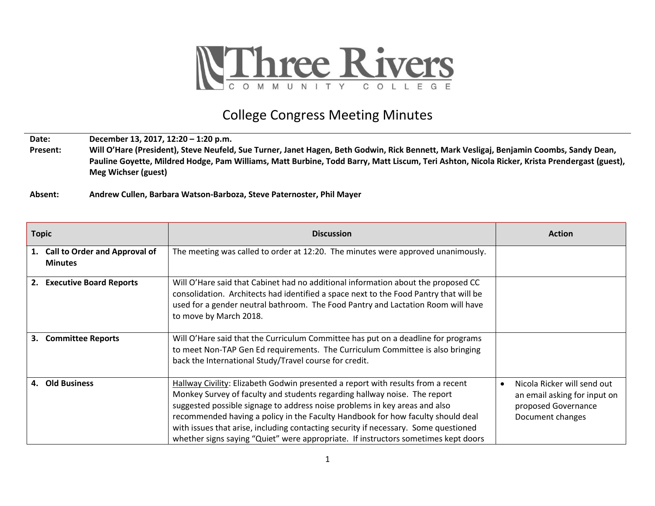

## College Congress Meeting Minutes

**Date: December 13, 2017, 12:20 – 1:20 p.m.**

**Present: Will O'Hare (President), Steve Neufeld, Sue Turner, Janet Hagen, Beth Godwin, Rick Bennett, Mark Vesligaj, Benjamin Coombs, Sandy Dean, Pauline Goyette, Mildred Hodge, Pam Williams, Matt Burbine, Todd Barry, Matt Liscum, Teri Ashton, Nicola Ricker, Krista Prendergast (guest), Meg Wichser (guest)**

**Absent: Andrew Cullen, Barbara Watson-Barboza, Steve Paternoster, Phil Mayer**

| <b>Topic</b>                                           | <b>Discussion</b>                                                                                                                                                                                                                                                                                                                                                                                                                                                                                           | <b>Action</b>                                                                                                       |
|--------------------------------------------------------|-------------------------------------------------------------------------------------------------------------------------------------------------------------------------------------------------------------------------------------------------------------------------------------------------------------------------------------------------------------------------------------------------------------------------------------------------------------------------------------------------------------|---------------------------------------------------------------------------------------------------------------------|
| <b>Call to Order and Approval of</b><br><b>Minutes</b> | The meeting was called to order at 12:20. The minutes were approved unanimously.                                                                                                                                                                                                                                                                                                                                                                                                                            |                                                                                                                     |
| <b>Executive Board Reports</b><br>2.                   | Will O'Hare said that Cabinet had no additional information about the proposed CC<br>consolidation. Architects had identified a space next to the Food Pantry that will be<br>used for a gender neutral bathroom. The Food Pantry and Lactation Room will have<br>to move by March 2018.                                                                                                                                                                                                                    |                                                                                                                     |
| 3.<br><b>Committee Reports</b>                         | Will O'Hare said that the Curriculum Committee has put on a deadline for programs<br>to meet Non-TAP Gen Ed requirements. The Curriculum Committee is also bringing<br>back the International Study/Travel course for credit.                                                                                                                                                                                                                                                                               |                                                                                                                     |
| <b>Old Business</b><br>4.                              | Hallway Civility: Elizabeth Godwin presented a report with results from a recent<br>Monkey Survey of faculty and students regarding hallway noise. The report<br>suggested possible signage to address noise problems in key areas and also<br>recommended having a policy in the Faculty Handbook for how faculty should deal<br>with issues that arise, including contacting security if necessary. Some questioned<br>whether signs saying "Quiet" were appropriate. If instructors sometimes kept doors | Nicola Ricker will send out<br>$\bullet$<br>an email asking for input on<br>proposed Governance<br>Document changes |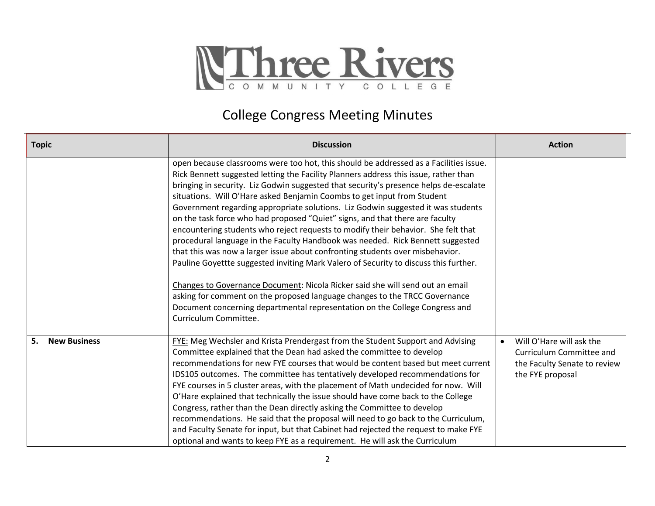

## College Congress Meeting Minutes

| <b>Topic</b>              | <b>Discussion</b>                                                                                                                                                                                                                                                                                                                                                                                                                                                                                                                                                                                                                                                                                                                                                                                                                                                                                                                                                                                                                                                                                                                            | <b>Action</b>                                                                                            |
|---------------------------|----------------------------------------------------------------------------------------------------------------------------------------------------------------------------------------------------------------------------------------------------------------------------------------------------------------------------------------------------------------------------------------------------------------------------------------------------------------------------------------------------------------------------------------------------------------------------------------------------------------------------------------------------------------------------------------------------------------------------------------------------------------------------------------------------------------------------------------------------------------------------------------------------------------------------------------------------------------------------------------------------------------------------------------------------------------------------------------------------------------------------------------------|----------------------------------------------------------------------------------------------------------|
|                           | open because classrooms were too hot, this should be addressed as a Facilities issue.<br>Rick Bennett suggested letting the Facility Planners address this issue, rather than<br>bringing in security. Liz Godwin suggested that security's presence helps de-escalate<br>situations. Will O'Hare asked Benjamin Coombs to get input from Student<br>Government regarding appropriate solutions. Liz Godwin suggested it was students<br>on the task force who had proposed "Quiet" signs, and that there are faculty<br>encountering students who reject requests to modify their behavior. She felt that<br>procedural language in the Faculty Handbook was needed. Rick Bennett suggested<br>that this was now a larger issue about confronting students over misbehavior.<br>Pauline Goyettte suggested inviting Mark Valero of Security to discuss this further.<br>Changes to Governance Document: Nicola Ricker said she will send out an email<br>asking for comment on the proposed language changes to the TRCC Governance<br>Document concerning departmental representation on the College Congress and<br>Curriculum Committee. |                                                                                                          |
| 5.<br><b>New Business</b> | FYE: Meg Wechsler and Krista Prendergast from the Student Support and Advising<br>Committee explained that the Dean had asked the committee to develop<br>recommendations for new FYE courses that would be content based but meet current<br>IDS105 outcomes. The committee has tentatively developed recommendations for<br>FYE courses in 5 cluster areas, with the placement of Math undecided for now. Will<br>O'Hare explained that technically the issue should have come back to the College<br>Congress, rather than the Dean directly asking the Committee to develop<br>recommendations. He said that the proposal will need to go back to the Curriculum,<br>and Faculty Senate for input, but that Cabinet had rejected the request to make FYE<br>optional and wants to keep FYE as a requirement. He will ask the Curriculum                                                                                                                                                                                                                                                                                                  | Will O'Hare will ask the<br>Curriculum Committee and<br>the Faculty Senate to review<br>the FYE proposal |